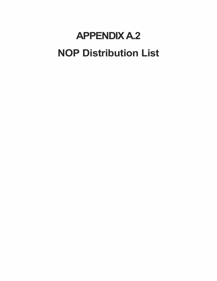## **APPENDIX A.2 NOP Distribution List**